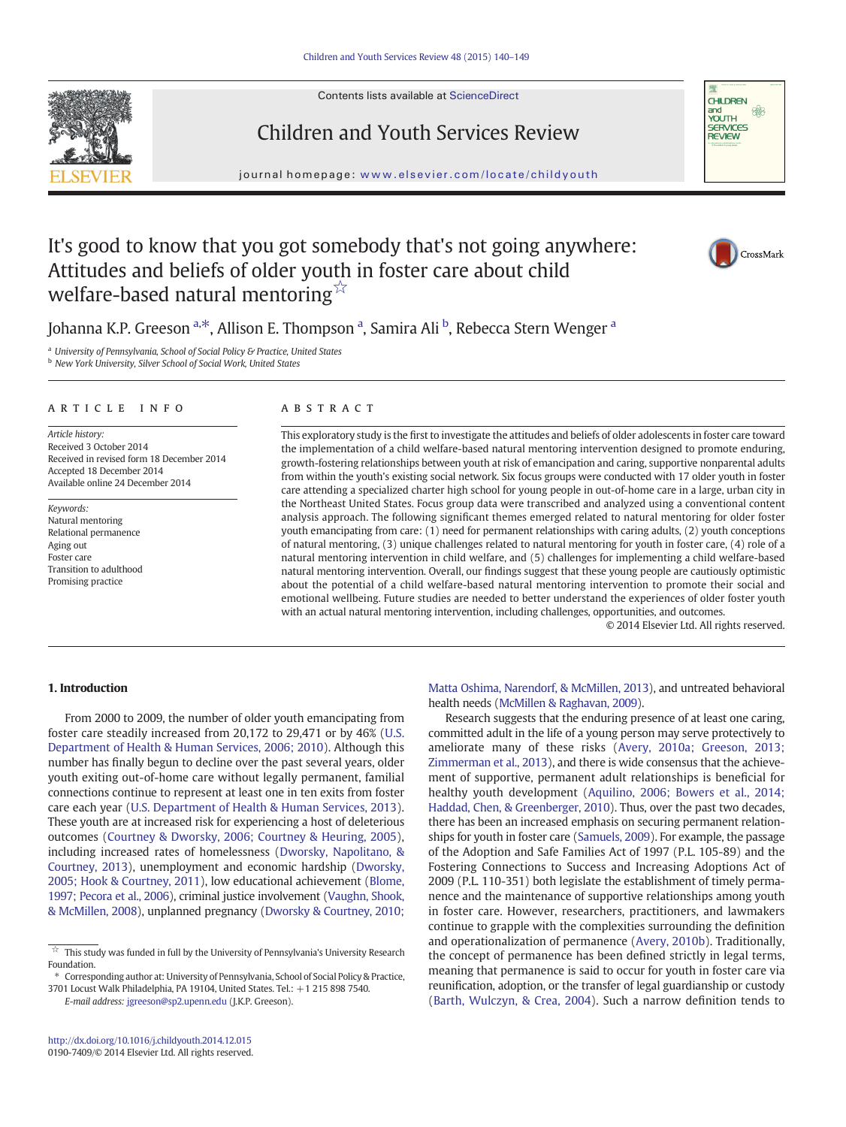Contents lists available at [ScienceDirect](http://www.sciencedirect.com/science/journal/01907409)





# Children and Youth Services Review

journal homepage: <www.elsevier.com/locate/childyouth>

# It's good to know that you got somebody that's not going anywhere: Attitudes and beliefs of older youth in foster care about child welfare-based natural mentoring☆



Johanna K.P. Greeson <sup>a,\*</sup>, Allison E. Thompson <sup>a</sup>, Samira Ali <sup>b</sup>, Rebecca Stern Wenger <sup>a</sup>

<sup>a</sup> University of Pennsylvania, School of Social Policy & Practice, United States

<sup>b</sup> New York University, Silver School of Social Work, United States

# article info abstract

Article history: Received 3 October 2014 Received in revised form 18 December 2014 Accepted 18 December 2014 Available online 24 December 2014

Keywords: Natural mentoring Relational permanence Aging out Foster care Transition to adulthood Promising practice

This exploratory study is the first to investigate the attitudes and beliefs of older adolescents in foster care toward the implementation of a child welfare-based natural mentoring intervention designed to promote enduring, growth-fostering relationships between youth at risk of emancipation and caring, supportive nonparental adults from within the youth's existing social network. Six focus groups were conducted with 17 older youth in foster care attending a specialized charter high school for young people in out-of-home care in a large, urban city in the Northeast United States. Focus group data were transcribed and analyzed using a conventional content analysis approach. The following significant themes emerged related to natural mentoring for older foster youth emancipating from care: (1) need for permanent relationships with caring adults, (2) youth conceptions of natural mentoring, (3) unique challenges related to natural mentoring for youth in foster care, (4) role of a natural mentoring intervention in child welfare, and (5) challenges for implementing a child welfare-based natural mentoring intervention. Overall, our findings suggest that these young people are cautiously optimistic about the potential of a child welfare-based natural mentoring intervention to promote their social and emotional wellbeing. Future studies are needed to better understand the experiences of older foster youth with an actual natural mentoring intervention, including challenges, opportunities, and outcomes.

© 2014 Elsevier Ltd. All rights reserved.

# 1. Introduction

From 2000 to 2009, the number of older youth emancipating from foster care steadily increased from 20,172 to 29,471 or by 46% [\(U.S.](#page-9-0) [Department of Health & Human Services, 2006; 2010\)](#page-9-0). Although this number has finally begun to decline over the past several years, older youth exiting out-of-home care without legally permanent, familial connections continue to represent at least one in ten exits from foster care each year [\(U.S. Department of Health & Human Services, 2013](#page-9-0)). These youth are at increased risk for experiencing a host of deleterious outcomes ([Courtney & Dworsky, 2006; Courtney & Heuring, 2005](#page-8-0)), including increased rates of homelessness [\(Dworsky, Napolitano, &](#page-8-0) [Courtney, 2013\)](#page-8-0), unemployment and economic hardship ([Dworsky,](#page-8-0) [2005; Hook & Courtney, 2011\)](#page-8-0), low educational achievement [\(Blome,](#page-8-0) [1997; Pecora et al., 2006\)](#page-8-0), criminal justice involvement [\(Vaughn, Shook,](#page-9-0) [& McMillen, 2008](#page-9-0)), unplanned pregnancy ([Dworsky & Courtney, 2010;](#page-8-0)

⁎ Corresponding author at: University of Pennsylvania, School of Social Policy & Practice, 3701 Locust Walk Philadelphia, PA 19104, United States. Tel.: +1 215 898 7540.

E-mail address: [jgreeson@sp2.upenn.edu](mailto:jgreeson@sp2.upenn.edu) (J.K.P. Greeson).

[Matta Oshima, Narendorf, & McMillen, 2013\)](#page-8-0), and untreated behavioral health needs [\(McMillen & Raghavan, 2009\)](#page-9-0).

Research suggests that the enduring presence of at least one caring, committed adult in the life of a young person may serve protectively to ameliorate many of these risks [\(Avery, 2010a; Greeson, 2013;](#page-8-0) [Zimmerman et al., 2013\)](#page-8-0), and there is wide consensus that the achievement of supportive, permanent adult relationships is beneficial for healthy youth development [\(Aquilino, 2006; Bowers et al., 2014;](#page-8-0) [Haddad, Chen, & Greenberger, 2010](#page-8-0)). Thus, over the past two decades, there has been an increased emphasis on securing permanent relationships for youth in foster care [\(Samuels, 2009\)](#page-9-0). For example, the passage of the Adoption and Safe Families Act of 1997 (P.L. 105-89) and the Fostering Connections to Success and Increasing Adoptions Act of 2009 (P.L. 110-351) both legislate the establishment of timely permanence and the maintenance of supportive relationships among youth in foster care. However, researchers, practitioners, and lawmakers continue to grapple with the complexities surrounding the definition and operationalization of permanence ([Avery, 2010b](#page-8-0)). Traditionally, the concept of permanence has been defined strictly in legal terms, meaning that permanence is said to occur for youth in foster care via reunification, adoption, or the transfer of legal guardianship or custody [\(Barth, Wulczyn, & Crea, 2004](#page-8-0)). Such a narrow definition tends to

 $\overrightarrow{A}$  This study was funded in full by the University of Pennsylvania's University Research Foundation.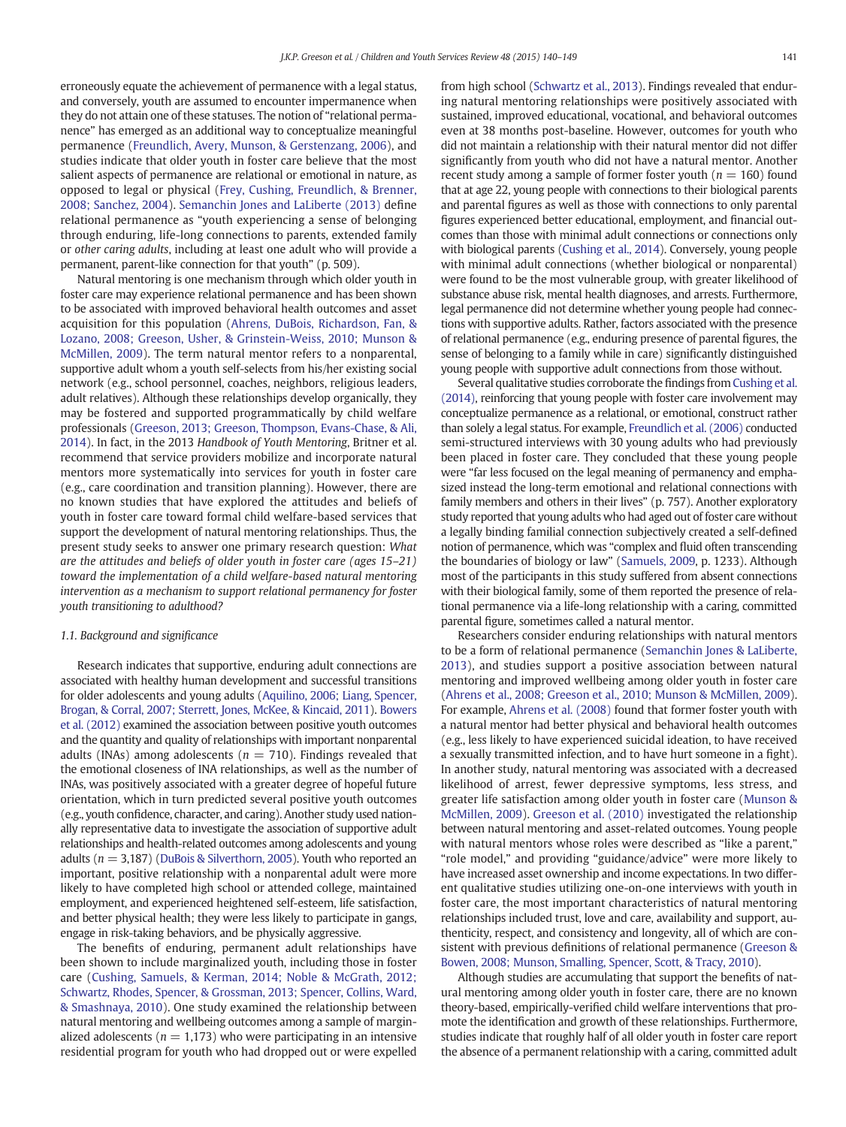erroneously equate the achievement of permanence with a legal status, and conversely, youth are assumed to encounter impermanence when they do not attain one of these statuses. The notion of "relational permanence" has emerged as an additional way to conceptualize meaningful permanence ([Freundlich, Avery, Munson, & Gerstenzang, 2006](#page-8-0)), and studies indicate that older youth in foster care believe that the most salient aspects of permanence are relational or emotional in nature, as opposed to legal or physical ([Frey, Cushing, Freundlich, & Brenner,](#page-8-0) [2008; Sanchez, 2004\)](#page-8-0). [Semanchin Jones and LaLiberte \(2013\)](#page-9-0) define relational permanence as "youth experiencing a sense of belonging through enduring, life-long connections to parents, extended family or other caring adults, including at least one adult who will provide a permanent, parent-like connection for that youth" (p. 509).

Natural mentoring is one mechanism through which older youth in foster care may experience relational permanence and has been shown to be associated with improved behavioral health outcomes and asset acquisition for this population ([Ahrens, DuBois, Richardson, Fan, &](#page-8-0) [Lozano, 2008; Greeson, Usher, & Grinstein-Weiss, 2010; Munson &](#page-8-0) [McMillen, 2009\)](#page-8-0). The term natural mentor refers to a nonparental, supportive adult whom a youth self-selects from his/her existing social network (e.g., school personnel, coaches, neighbors, religious leaders, adult relatives). Although these relationships develop organically, they may be fostered and supported programmatically by child welfare professionals ([Greeson, 2013; Greeson, Thompson, Evans-Chase, & Ali,](#page-8-0) [2014\)](#page-8-0). In fact, in the 2013 Handbook of Youth Mentoring, Britner et al. recommend that service providers mobilize and incorporate natural mentors more systematically into services for youth in foster care (e.g., care coordination and transition planning). However, there are no known studies that have explored the attitudes and beliefs of youth in foster care toward formal child welfare-based services that support the development of natural mentoring relationships. Thus, the present study seeks to answer one primary research question: What are the attitudes and beliefs of older youth in foster care (ages 15–21) toward the implementation of a child welfare-based natural mentoring intervention as a mechanism to support relational permanency for foster youth transitioning to adulthood?

#### 1.1. Background and significance

Research indicates that supportive, enduring adult connections are associated with healthy human development and successful transitions for older adolescents and young adults ([Aquilino, 2006; Liang, Spencer,](#page-8-0) [Brogan, & Corral, 2007; Sterrett, Jones, McKee, & Kincaid, 2011](#page-8-0)). [Bowers](#page-8-0) [et al. \(2012\)](#page-8-0) examined the association between positive youth outcomes and the quantity and quality of relationships with important nonparental adults (INAs) among adolescents ( $n = 710$ ). Findings revealed that the emotional closeness of INA relationships, as well as the number of INAs, was positively associated with a greater degree of hopeful future orientation, which in turn predicted several positive youth outcomes (e.g., youth confidence, character, and caring). Another study used nationally representative data to investigate the association of supportive adult relationships and health-related outcomes among adolescents and young adults ( $n = 3,187$ ) ([DuBois & Silverthorn, 2005\)](#page-8-0). Youth who reported an important, positive relationship with a nonparental adult were more likely to have completed high school or attended college, maintained employment, and experienced heightened self-esteem, life satisfaction, and better physical health; they were less likely to participate in gangs, engage in risk-taking behaviors, and be physically aggressive.

The benefits of enduring, permanent adult relationships have been shown to include marginalized youth, including those in foster care ([Cushing, Samuels, & Kerman, 2014; Noble & McGrath, 2012;](#page-8-0) [Schwartz, Rhodes, Spencer, & Grossman, 2013; Spencer, Collins, Ward,](#page-8-0) [& Smashnaya, 2010\)](#page-8-0). One study examined the relationship between natural mentoring and wellbeing outcomes among a sample of marginalized adolescents ( $n = 1,173$ ) who were participating in an intensive residential program for youth who had dropped out or were expelled from high school [\(Schwartz et al., 2013](#page-9-0)). Findings revealed that enduring natural mentoring relationships were positively associated with sustained, improved educational, vocational, and behavioral outcomes even at 38 months post-baseline. However, outcomes for youth who did not maintain a relationship with their natural mentor did not differ significantly from youth who did not have a natural mentor. Another recent study among a sample of former foster youth ( $n = 160$ ) found that at age 22, young people with connections to their biological parents and parental figures as well as those with connections to only parental figures experienced better educational, employment, and financial outcomes than those with minimal adult connections or connections only with biological parents [\(Cushing et al., 2014](#page-8-0)). Conversely, young people with minimal adult connections (whether biological or nonparental) were found to be the most vulnerable group, with greater likelihood of substance abuse risk, mental health diagnoses, and arrests. Furthermore, legal permanence did not determine whether young people had connections with supportive adults. Rather, factors associated with the presence of relational permanence (e.g., enduring presence of parental figures, the sense of belonging to a family while in care) significantly distinguished young people with supportive adult connections from those without.

Several qualitative studies corroborate the findings from [Cushing et al.](#page-8-0) [\(2014\),](#page-8-0) reinforcing that young people with foster care involvement may conceptualize permanence as a relational, or emotional, construct rather than solely a legal status. For example, [Freundlich et al. \(2006\)](#page-8-0) conducted semi-structured interviews with 30 young adults who had previously been placed in foster care. They concluded that these young people were "far less focused on the legal meaning of permanency and emphasized instead the long-term emotional and relational connections with family members and others in their lives" (p. 757). Another exploratory study reported that young adults who had aged out of foster care without a legally binding familial connection subjectively created a self-defined notion of permanence, which was "complex and fluid often transcending the boundaries of biology or law" [\(Samuels, 2009,](#page-9-0) p. 1233). Although most of the participants in this study suffered from absent connections with their biological family, some of them reported the presence of relational permanence via a life-long relationship with a caring, committed parental figure, sometimes called a natural mentor.

Researchers consider enduring relationships with natural mentors to be a form of relational permanence ([Semanchin Jones & LaLiberte,](#page-9-0) [2013\)](#page-9-0), and studies support a positive association between natural mentoring and improved wellbeing among older youth in foster care [\(Ahrens et al., 2008; Greeson et al., 2010; Munson & McMillen, 2009](#page-8-0)). For example, [Ahrens et al. \(2008\)](#page-8-0) found that former foster youth with a natural mentor had better physical and behavioral health outcomes (e.g., less likely to have experienced suicidal ideation, to have received a sexually transmitted infection, and to have hurt someone in a fight). In another study, natural mentoring was associated with a decreased likelihood of arrest, fewer depressive symptoms, less stress, and greater life satisfaction among older youth in foster care ([Munson &](#page-9-0) [McMillen, 2009\)](#page-9-0). [Greeson et al. \(2010\)](#page-8-0) investigated the relationship between natural mentoring and asset-related outcomes. Young people with natural mentors whose roles were described as "like a parent," "role model," and providing "guidance/advice" were more likely to have increased asset ownership and income expectations. In two different qualitative studies utilizing one-on-one interviews with youth in foster care, the most important characteristics of natural mentoring relationships included trust, love and care, availability and support, authenticity, respect, and consistency and longevity, all of which are consistent with previous definitions of relational permanence [\(Greeson &](#page-8-0) [Bowen, 2008; Munson, Smalling, Spencer, Scott, & Tracy, 2010\)](#page-8-0).

Although studies are accumulating that support the benefits of natural mentoring among older youth in foster care, there are no known theory-based, empirically-verified child welfare interventions that promote the identification and growth of these relationships. Furthermore, studies indicate that roughly half of all older youth in foster care report the absence of a permanent relationship with a caring, committed adult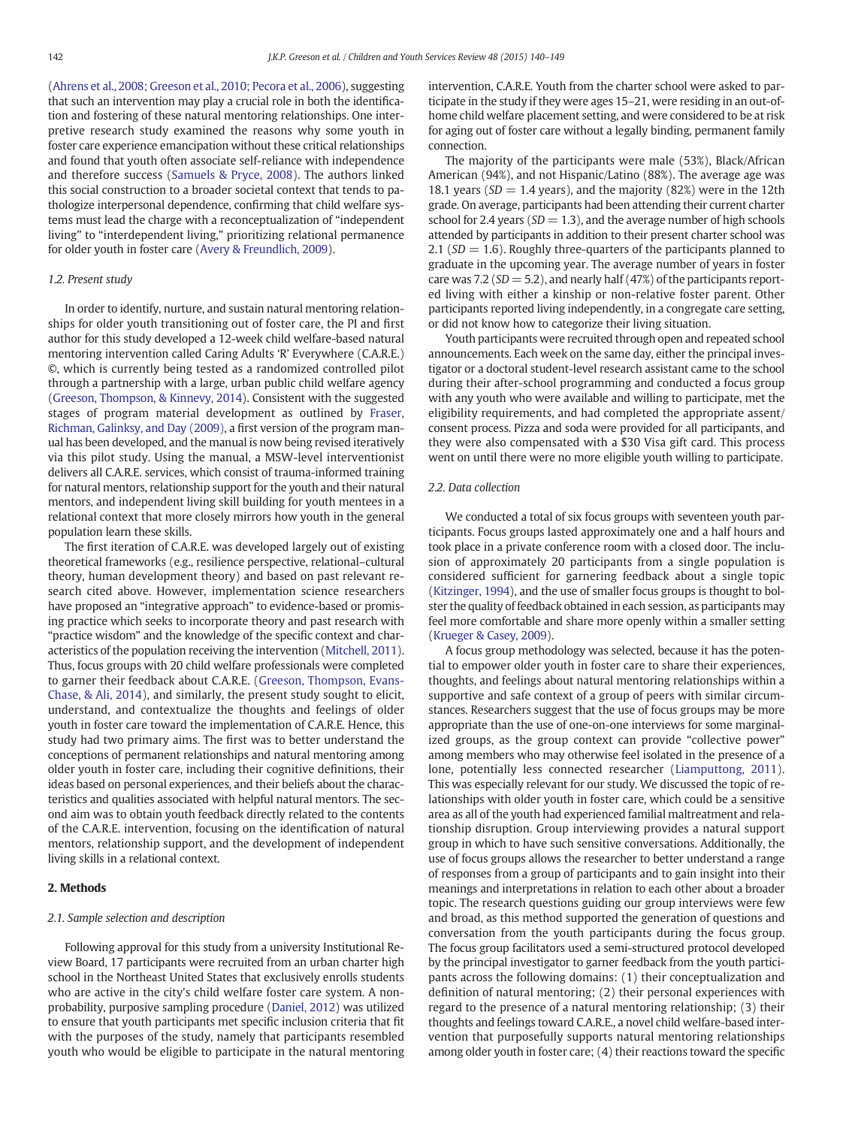[\(Ahrens et al., 2008; Greeson et al., 2010; Pecora et al., 2006](#page-8-0)), suggesting that such an intervention may play a crucial role in both the identification and fostering of these natural mentoring relationships. One interpretive research study examined the reasons why some youth in foster care experience emancipation without these critical relationships and found that youth often associate self-reliance with independence and therefore success ([Samuels & Pryce, 2008](#page-9-0)). The authors linked this social construction to a broader societal context that tends to pathologize interpersonal dependence, confirming that child welfare systems must lead the charge with a reconceptualization of "independent living" to "interdependent living," prioritizing relational permanence for older youth in foster care [\(Avery & Freundlich, 2009\)](#page-8-0).

# 1.2. Present study

In order to identify, nurture, and sustain natural mentoring relationships for older youth transitioning out of foster care, the PI and first author for this study developed a 12-week child welfare-based natural mentoring intervention called Caring Adults 'R' Everywhere (C.A.R.E.) ©, which is currently being tested as a randomized controlled pilot through a partnership with a large, urban public child welfare agency [\(Greeson, Thompson, & Kinnevy, 2014](#page-8-0)). Consistent with the suggested stages of program material development as outlined by [Fraser,](#page-8-0) [Richman, Galinksy, and Day \(2009\),](#page-8-0) a first version of the program manual has been developed, and the manual is now being revised iteratively via this pilot study. Using the manual, a MSW-level interventionist delivers all C.A.R.E. services, which consist of trauma-informed training for natural mentors, relationship support for the youth and their natural mentors, and independent living skill building for youth mentees in a relational context that more closely mirrors how youth in the general population learn these skills.

The first iteration of C.A.R.E. was developed largely out of existing theoretical frameworks (e.g., resilience perspective, relational–cultural theory, human development theory) and based on past relevant research cited above. However, implementation science researchers have proposed an "integrative approach" to evidence-based or promising practice which seeks to incorporate theory and past research with "practice wisdom" and the knowledge of the specific context and characteristics of the population receiving the intervention [\(Mitchell, 2011\)](#page-9-0). Thus, focus groups with 20 child welfare professionals were completed to garner their feedback about C.A.R.E. [\(Greeson, Thompson, Evans-](#page-8-0)[Chase, & Ali, 2014](#page-8-0)), and similarly, the present study sought to elicit, understand, and contextualize the thoughts and feelings of older youth in foster care toward the implementation of C.A.R.E. Hence, this study had two primary aims. The first was to better understand the conceptions of permanent relationships and natural mentoring among older youth in foster care, including their cognitive definitions, their ideas based on personal experiences, and their beliefs about the characteristics and qualities associated with helpful natural mentors. The second aim was to obtain youth feedback directly related to the contents of the C.A.R.E. intervention, focusing on the identification of natural mentors, relationship support, and the development of independent living skills in a relational context.

#### 2. Methods

#### 2.1. Sample selection and description

Following approval for this study from a university Institutional Review Board, 17 participants were recruited from an urban charter high school in the Northeast United States that exclusively enrolls students who are active in the city's child welfare foster care system. A nonprobability, purposive sampling procedure [\(Daniel, 2012](#page-8-0)) was utilized to ensure that youth participants met specific inclusion criteria that fit with the purposes of the study, namely that participants resembled youth who would be eligible to participate in the natural mentoring intervention, C.A.R.E. Youth from the charter school were asked to participate in the study if they were ages 15–21, were residing in an out-ofhome child welfare placement setting, and were considered to be at risk for aging out of foster care without a legally binding, permanent family connection.

The majority of the participants were male (53%), Black/African American (94%), and not Hispanic/Latino (88%). The average age was 18.1 years ( $SD = 1.4$  years), and the majority (82%) were in the 12th grade. On average, participants had been attending their current charter school for 2.4 years ( $SD = 1.3$ ), and the average number of high schools attended by participants in addition to their present charter school was 2.1 ( $SD = 1.6$ ). Roughly three-quarters of the participants planned to graduate in the upcoming year. The average number of years in foster care was 7.2 ( $SD = 5.2$ ), and nearly half (47%) of the participants reported living with either a kinship or non-relative foster parent. Other participants reported living independently, in a congregate care setting, or did not know how to categorize their living situation.

Youth participants were recruited through open and repeated school announcements. Each week on the same day, either the principal investigator or a doctoral student-level research assistant came to the school during their after-school programming and conducted a focus group with any youth who were available and willing to participate, met the eligibility requirements, and had completed the appropriate assent/ consent process. Pizza and soda were provided for all participants, and they were also compensated with a \$30 Visa gift card. This process went on until there were no more eligible youth willing to participate.

#### 2.2. Data collection

We conducted a total of six focus groups with seventeen youth participants. Focus groups lasted approximately one and a half hours and took place in a private conference room with a closed door. The inclusion of approximately 20 participants from a single population is considered sufficient for garnering feedback about a single topic [\(Kitzinger, 1994\)](#page-9-0), and the use of smaller focus groups is thought to bolster the quality of feedback obtained in each session, as participants may feel more comfortable and share more openly within a smaller setting [\(Krueger & Casey, 2009\)](#page-9-0).

A focus group methodology was selected, because it has the potential to empower older youth in foster care to share their experiences, thoughts, and feelings about natural mentoring relationships within a supportive and safe context of a group of peers with similar circumstances. Researchers suggest that the use of focus groups may be more appropriate than the use of one-on-one interviews for some marginalized groups, as the group context can provide "collective power" among members who may otherwise feel isolated in the presence of a lone, potentially less connected researcher ([Liamputtong, 2011](#page-9-0)). This was especially relevant for our study. We discussed the topic of relationships with older youth in foster care, which could be a sensitive area as all of the youth had experienced familial maltreatment and relationship disruption. Group interviewing provides a natural support group in which to have such sensitive conversations. Additionally, the use of focus groups allows the researcher to better understand a range of responses from a group of participants and to gain insight into their meanings and interpretations in relation to each other about a broader topic. The research questions guiding our group interviews were few and broad, as this method supported the generation of questions and conversation from the youth participants during the focus group. The focus group facilitators used a semi-structured protocol developed by the principal investigator to garner feedback from the youth participants across the following domains: (1) their conceptualization and definition of natural mentoring; (2) their personal experiences with regard to the presence of a natural mentoring relationship; (3) their thoughts and feelings toward C.A.R.E., a novel child welfare-based intervention that purposefully supports natural mentoring relationships among older youth in foster care; (4) their reactions toward the specific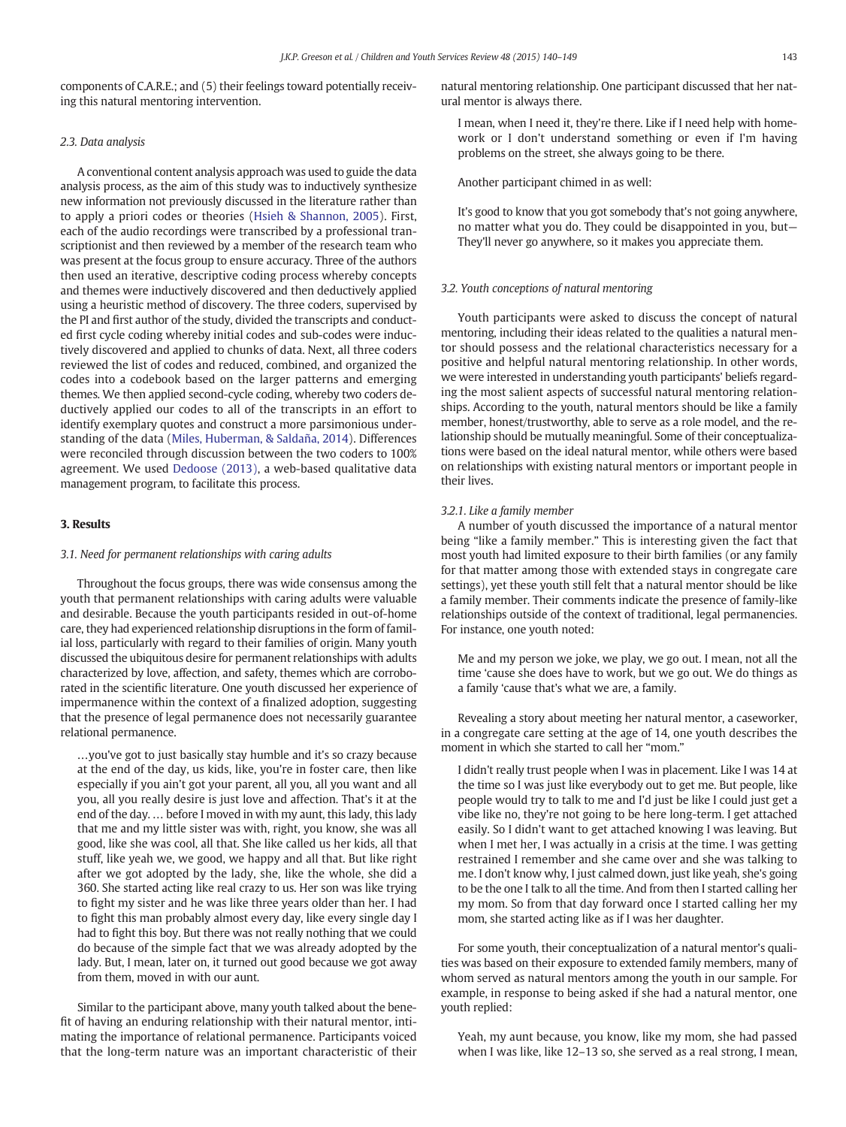components of C.A.R.E.; and (5) their feelings toward potentially receiving this natural mentoring intervention.

### 2.3. Data analysis

A conventional content analysis approach was used to guide the data analysis process, as the aim of this study was to inductively synthesize new information not previously discussed in the literature rather than to apply a priori codes or theories ([Hsieh & Shannon, 2005](#page-9-0)). First, each of the audio recordings were transcribed by a professional transcriptionist and then reviewed by a member of the research team who was present at the focus group to ensure accuracy. Three of the authors then used an iterative, descriptive coding process whereby concepts and themes were inductively discovered and then deductively applied using a heuristic method of discovery. The three coders, supervised by the PI and first author of the study, divided the transcripts and conducted first cycle coding whereby initial codes and sub-codes were inductively discovered and applied to chunks of data. Next, all three coders reviewed the list of codes and reduced, combined, and organized the codes into a codebook based on the larger patterns and emerging themes. We then applied second-cycle coding, whereby two coders deductively applied our codes to all of the transcripts in an effort to identify exemplary quotes and construct a more parsimonious understanding of the data ([Miles, Huberman, & Saldaña, 2014](#page-9-0)). Differences were reconciled through discussion between the two coders to 100% agreement. We used [Dedoose \(2013\)](#page-8-0), a web-based qualitative data management program, to facilitate this process.

# 3. Results

#### 3.1. Need for permanent relationships with caring adults

Throughout the focus groups, there was wide consensus among the youth that permanent relationships with caring adults were valuable and desirable. Because the youth participants resided in out-of-home care, they had experienced relationship disruptions in the form of familial loss, particularly with regard to their families of origin. Many youth discussed the ubiquitous desire for permanent relationships with adults characterized by love, affection, and safety, themes which are corroborated in the scientific literature. One youth discussed her experience of impermanence within the context of a finalized adoption, suggesting that the presence of legal permanence does not necessarily guarantee relational permanence.

…you've got to just basically stay humble and it's so crazy because at the end of the day, us kids, like, you're in foster care, then like especially if you ain't got your parent, all you, all you want and all you, all you really desire is just love and affection. That's it at the end of the day. … before I moved in with my aunt, this lady, this lady that me and my little sister was with, right, you know, she was all good, like she was cool, all that. She like called us her kids, all that stuff, like yeah we, we good, we happy and all that. But like right after we got adopted by the lady, she, like the whole, she did a 360. She started acting like real crazy to us. Her son was like trying to fight my sister and he was like three years older than her. I had to fight this man probably almost every day, like every single day I had to fight this boy. But there was not really nothing that we could do because of the simple fact that we was already adopted by the lady. But, I mean, later on, it turned out good because we got away from them, moved in with our aunt.

Similar to the participant above, many youth talked about the benefit of having an enduring relationship with their natural mentor, intimating the importance of relational permanence. Participants voiced that the long-term nature was an important characteristic of their natural mentoring relationship. One participant discussed that her natural mentor is always there.

I mean, when I need it, they're there. Like if I need help with homework or I don't understand something or even if I'm having problems on the street, she always going to be there.

Another participant chimed in as well:

It's good to know that you got somebody that's not going anywhere, no matter what you do. They could be disappointed in you, but— They'll never go anywhere, so it makes you appreciate them.

### 3.2. Youth conceptions of natural mentoring

Youth participants were asked to discuss the concept of natural mentoring, including their ideas related to the qualities a natural mentor should possess and the relational characteristics necessary for a positive and helpful natural mentoring relationship. In other words, we were interested in understanding youth participants' beliefs regarding the most salient aspects of successful natural mentoring relationships. According to the youth, natural mentors should be like a family member, honest/trustworthy, able to serve as a role model, and the relationship should be mutually meaningful. Some of their conceptualizations were based on the ideal natural mentor, while others were based on relationships with existing natural mentors or important people in their lives.

#### 3.2.1. Like a family member

A number of youth discussed the importance of a natural mentor being "like a family member." This is interesting given the fact that most youth had limited exposure to their birth families (or any family for that matter among those with extended stays in congregate care settings), yet these youth still felt that a natural mentor should be like a family member. Their comments indicate the presence of family-like relationships outside of the context of traditional, legal permanencies. For instance, one youth noted:

Me and my person we joke, we play, we go out. I mean, not all the time 'cause she does have to work, but we go out. We do things as a family 'cause that's what we are, a family.

Revealing a story about meeting her natural mentor, a caseworker, in a congregate care setting at the age of 14, one youth describes the moment in which she started to call her "mom."

I didn't really trust people when I was in placement. Like I was 14 at the time so I was just like everybody out to get me. But people, like people would try to talk to me and I'd just be like I could just get a vibe like no, they're not going to be here long-term. I get attached easily. So I didn't want to get attached knowing I was leaving. But when I met her, I was actually in a crisis at the time. I was getting restrained I remember and she came over and she was talking to me. I don't know why, I just calmed down, just like yeah, she's going to be the one I talk to all the time. And from then I started calling her my mom. So from that day forward once I started calling her my mom, she started acting like as if I was her daughter.

For some youth, their conceptualization of a natural mentor's qualities was based on their exposure to extended family members, many of whom served as natural mentors among the youth in our sample. For example, in response to being asked if she had a natural mentor, one youth replied:

Yeah, my aunt because, you know, like my mom, she had passed when I was like, like 12–13 so, she served as a real strong, I mean,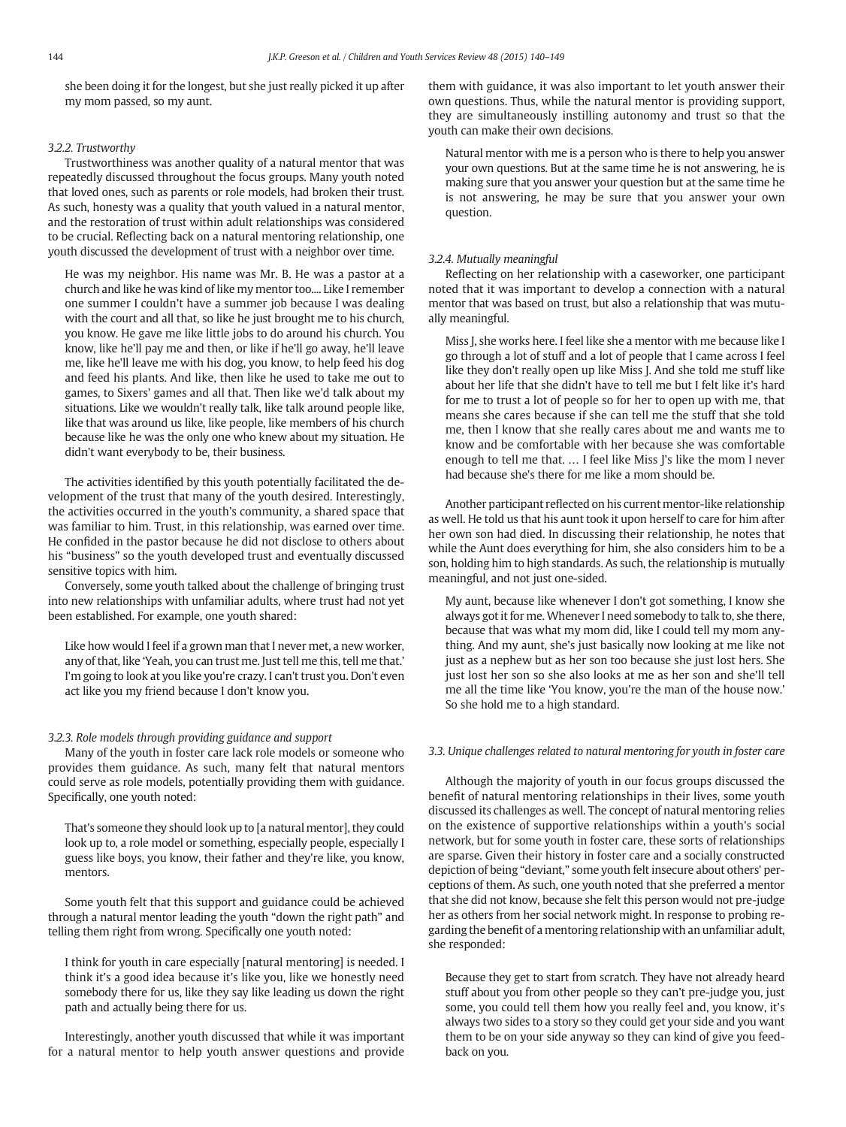she been doing it for the longest, but she just really picked it up after my mom passed, so my aunt.

### 3.2.2. Trustworthy

Trustworthiness was another quality of a natural mentor that was repeatedly discussed throughout the focus groups. Many youth noted that loved ones, such as parents or role models, had broken their trust. As such, honesty was a quality that youth valued in a natural mentor, and the restoration of trust within adult relationships was considered to be crucial. Reflecting back on a natural mentoring relationship, one youth discussed the development of trust with a neighbor over time.

He was my neighbor. His name was Mr. B. He was a pastor at a church and like he was kind of like my mentor too.... Like I remember one summer I couldn't have a summer job because I was dealing with the court and all that, so like he just brought me to his church, you know. He gave me like little jobs to do around his church. You know, like he'll pay me and then, or like if he'll go away, he'll leave me, like he'll leave me with his dog, you know, to help feed his dog and feed his plants. And like, then like he used to take me out to games, to Sixers' games and all that. Then like we'd talk about my situations. Like we wouldn't really talk, like talk around people like, like that was around us like, like people, like members of his church because like he was the only one who knew about my situation. He didn't want everybody to be, their business.

The activities identified by this youth potentially facilitated the development of the trust that many of the youth desired. Interestingly, the activities occurred in the youth's community, a shared space that was familiar to him. Trust, in this relationship, was earned over time. He confided in the pastor because he did not disclose to others about his "business" so the youth developed trust and eventually discussed sensitive topics with him.

Conversely, some youth talked about the challenge of bringing trust into new relationships with unfamiliar adults, where trust had not yet been established. For example, one youth shared:

Like how would I feel if a grown man that I never met, a new worker, any of that, like 'Yeah, you can trust me. Just tell me this, tell me that.' I'm going to look at you like you're crazy. I can't trust you. Don't even act like you my friend because I don't know you.

### 3.2.3. Role models through providing guidance and support

Many of the youth in foster care lack role models or someone who provides them guidance. As such, many felt that natural mentors could serve as role models, potentially providing them with guidance. Specifically, one youth noted:

That's someone they should look up to [a natural mentor], they could look up to, a role model or something, especially people, especially I guess like boys, you know, their father and they're like, you know, mentors.

Some youth felt that this support and guidance could be achieved through a natural mentor leading the youth "down the right path" and telling them right from wrong. Specifically one youth noted:

I think for youth in care especially [natural mentoring] is needed. I think it's a good idea because it's like you, like we honestly need somebody there for us, like they say like leading us down the right path and actually being there for us.

Interestingly, another youth discussed that while it was important for a natural mentor to help youth answer questions and provide

them with guidance, it was also important to let youth answer their own questions. Thus, while the natural mentor is providing support, they are simultaneously instilling autonomy and trust so that the youth can make their own decisions.

Natural mentor with me is a person who is there to help you answer your own questions. But at the same time he is not answering, he is making sure that you answer your question but at the same time he is not answering, he may be sure that you answer your own question.

#### 3.2.4. Mutually meaningful

Reflecting on her relationship with a caseworker, one participant noted that it was important to develop a connection with a natural mentor that was based on trust, but also a relationship that was mutually meaningful.

Miss J, she works here. I feel like she a mentor with me because like I go through a lot of stuff and a lot of people that I came across I feel like they don't really open up like Miss J. And she told me stuff like about her life that she didn't have to tell me but I felt like it's hard for me to trust a lot of people so for her to open up with me, that means she cares because if she can tell me the stuff that she told me, then I know that she really cares about me and wants me to know and be comfortable with her because she was comfortable enough to tell me that. … I feel like Miss J's like the mom I never had because she's there for me like a mom should be.

Another participant reflected on his current mentor-like relationship as well. He told us that his aunt took it upon herself to care for him after her own son had died. In discussing their relationship, he notes that while the Aunt does everything for him, she also considers him to be a son, holding him to high standards. As such, the relationship is mutually meaningful, and not just one-sided.

My aunt, because like whenever I don't got something, I know she always got it for me. Whenever I need somebody to talk to, she there, because that was what my mom did, like I could tell my mom anything. And my aunt, she's just basically now looking at me like not just as a nephew but as her son too because she just lost hers. She just lost her son so she also looks at me as her son and she'll tell me all the time like 'You know, you're the man of the house now.' So she hold me to a high standard.

# 3.3. Unique challenges related to natural mentoring for youth in foster care

Although the majority of youth in our focus groups discussed the benefit of natural mentoring relationships in their lives, some youth discussed its challenges as well. The concept of natural mentoring relies on the existence of supportive relationships within a youth's social network, but for some youth in foster care, these sorts of relationships are sparse. Given their history in foster care and a socially constructed depiction of being "deviant," some youth felt insecure about others' perceptions of them. As such, one youth noted that she preferred a mentor that she did not know, because she felt this person would not pre-judge her as others from her social network might. In response to probing regarding the benefit of a mentoring relationship with an unfamiliar adult, she responded:

Because they get to start from scratch. They have not already heard stuff about you from other people so they can't pre-judge you, just some, you could tell them how you really feel and, you know, it's always two sides to a story so they could get your side and you want them to be on your side anyway so they can kind of give you feedback on you.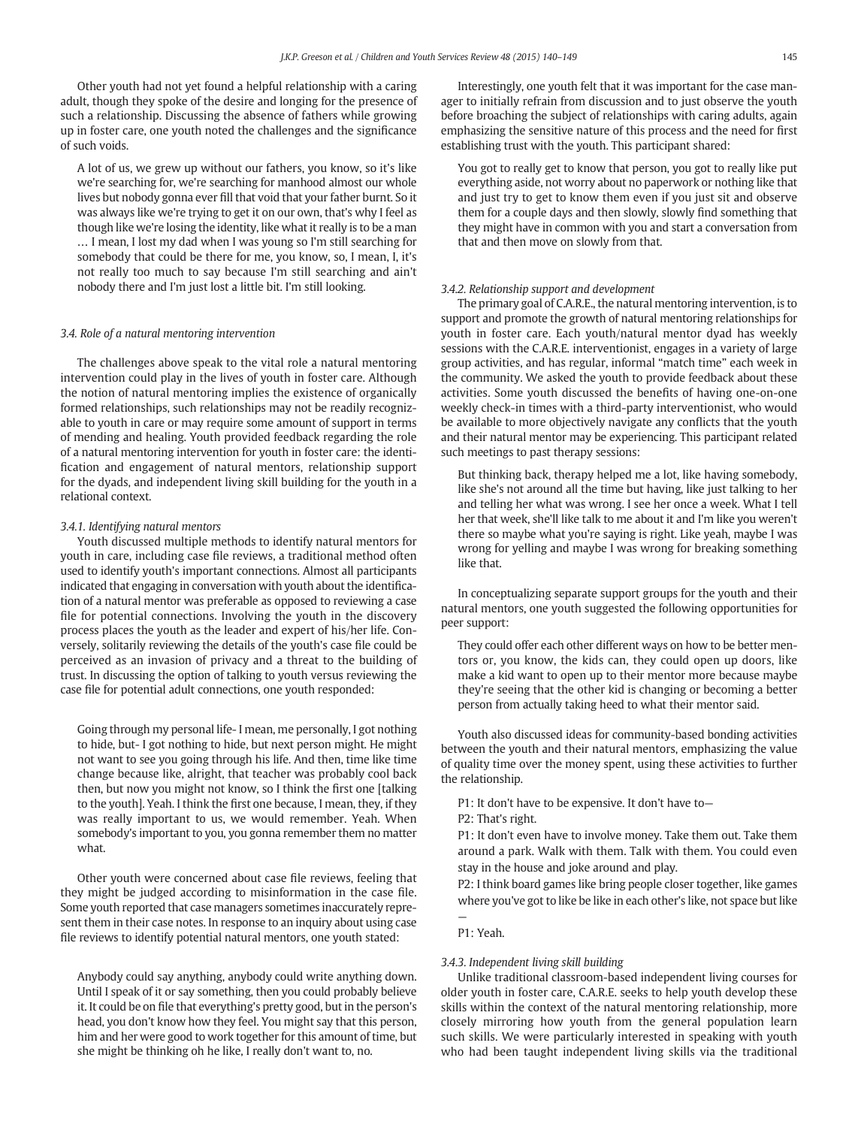Other youth had not yet found a helpful relationship with a caring adult, though they spoke of the desire and longing for the presence of such a relationship. Discussing the absence of fathers while growing up in foster care, one youth noted the challenges and the significance of such voids.

A lot of us, we grew up without our fathers, you know, so it's like we're searching for, we're searching for manhood almost our whole lives but nobody gonna ever fill that void that your father burnt. So it was always like we're trying to get it on our own, that's why I feel as though like we're losing the identity, like what it really is to be a man … I mean, I lost my dad when I was young so I'm still searching for somebody that could be there for me, you know, so, I mean, I, it's not really too much to say because I'm still searching and ain't nobody there and I'm just lost a little bit. I'm still looking.

### 3.4. Role of a natural mentoring intervention

The challenges above speak to the vital role a natural mentoring intervention could play in the lives of youth in foster care. Although the notion of natural mentoring implies the existence of organically formed relationships, such relationships may not be readily recognizable to youth in care or may require some amount of support in terms of mending and healing. Youth provided feedback regarding the role of a natural mentoring intervention for youth in foster care: the identification and engagement of natural mentors, relationship support for the dyads, and independent living skill building for the youth in a relational context.

# 3.4.1. Identifying natural mentors

Youth discussed multiple methods to identify natural mentors for youth in care, including case file reviews, a traditional method often used to identify youth's important connections. Almost all participants indicated that engaging in conversation with youth about the identification of a natural mentor was preferable as opposed to reviewing a case file for potential connections. Involving the youth in the discovery process places the youth as the leader and expert of his/her life. Conversely, solitarily reviewing the details of the youth's case file could be perceived as an invasion of privacy and a threat to the building of trust. In discussing the option of talking to youth versus reviewing the case file for potential adult connections, one youth responded:

Going through my personal life- I mean, me personally, I got nothing to hide, but- I got nothing to hide, but next person might. He might not want to see you going through his life. And then, time like time change because like, alright, that teacher was probably cool back then, but now you might not know, so I think the first one [talking to the youth]. Yeah. I think the first one because, I mean, they, if they was really important to us, we would remember. Yeah. When somebody's important to you, you gonna remember them no matter what.

Other youth were concerned about case file reviews, feeling that they might be judged according to misinformation in the case file. Some youth reported that case managers sometimes inaccurately represent them in their case notes. In response to an inquiry about using case file reviews to identify potential natural mentors, one youth stated:

Anybody could say anything, anybody could write anything down. Until I speak of it or say something, then you could probably believe it. It could be on file that everything's pretty good, but in the person's head, you don't know how they feel. You might say that this person, him and her were good to work together for this amount of time, but she might be thinking oh he like, I really don't want to, no.

Interestingly, one youth felt that it was important for the case manager to initially refrain from discussion and to just observe the youth before broaching the subject of relationships with caring adults, again emphasizing the sensitive nature of this process and the need for first establishing trust with the youth. This participant shared:

You got to really get to know that person, you got to really like put everything aside, not worry about no paperwork or nothing like that and just try to get to know them even if you just sit and observe them for a couple days and then slowly, slowly find something that they might have in common with you and start a conversation from that and then move on slowly from that.

### 3.4.2. Relationship support and development

The primary goal of C.A.R.E., the natural mentoring intervention, is to support and promote the growth of natural mentoring relationships for youth in foster care. Each youth/natural mentor dyad has weekly sessions with the C.A.R.E. interventionist, engages in a variety of large group activities, and has regular, informal "match time" each week in the community. We asked the youth to provide feedback about these activities. Some youth discussed the benefits of having one-on-one weekly check-in times with a third-party interventionist, who would be available to more objectively navigate any conflicts that the youth and their natural mentor may be experiencing. This participant related such meetings to past therapy sessions:

But thinking back, therapy helped me a lot, like having somebody, like she's not around all the time but having, like just talking to her and telling her what was wrong. I see her once a week. What I tell her that week, she'll like talk to me about it and I'm like you weren't there so maybe what you're saying is right. Like yeah, maybe I was wrong for yelling and maybe I was wrong for breaking something like that.

In conceptualizing separate support groups for the youth and their natural mentors, one youth suggested the following opportunities for peer support:

They could offer each other different ways on how to be better mentors or, you know, the kids can, they could open up doors, like make a kid want to open up to their mentor more because maybe they're seeing that the other kid is changing or becoming a better person from actually taking heed to what their mentor said.

Youth also discussed ideas for community-based bonding activities between the youth and their natural mentors, emphasizing the value of quality time over the money spent, using these activities to further the relationship.

P1: It don't have to be expensive. It don't have to—

P2: That's right.

P1: It don't even have to involve money. Take them out. Take them around a park. Walk with them. Talk with them. You could even stay in the house and joke around and play.

P2: I think board games like bring people closer together, like games where you've got to like be like in each other's like, not space but like

P1: Yeah.

—

#### 3.4.3. Independent living skill building

Unlike traditional classroom-based independent living courses for older youth in foster care, C.A.R.E. seeks to help youth develop these skills within the context of the natural mentoring relationship, more closely mirroring how youth from the general population learn such skills. We were particularly interested in speaking with youth who had been taught independent living skills via the traditional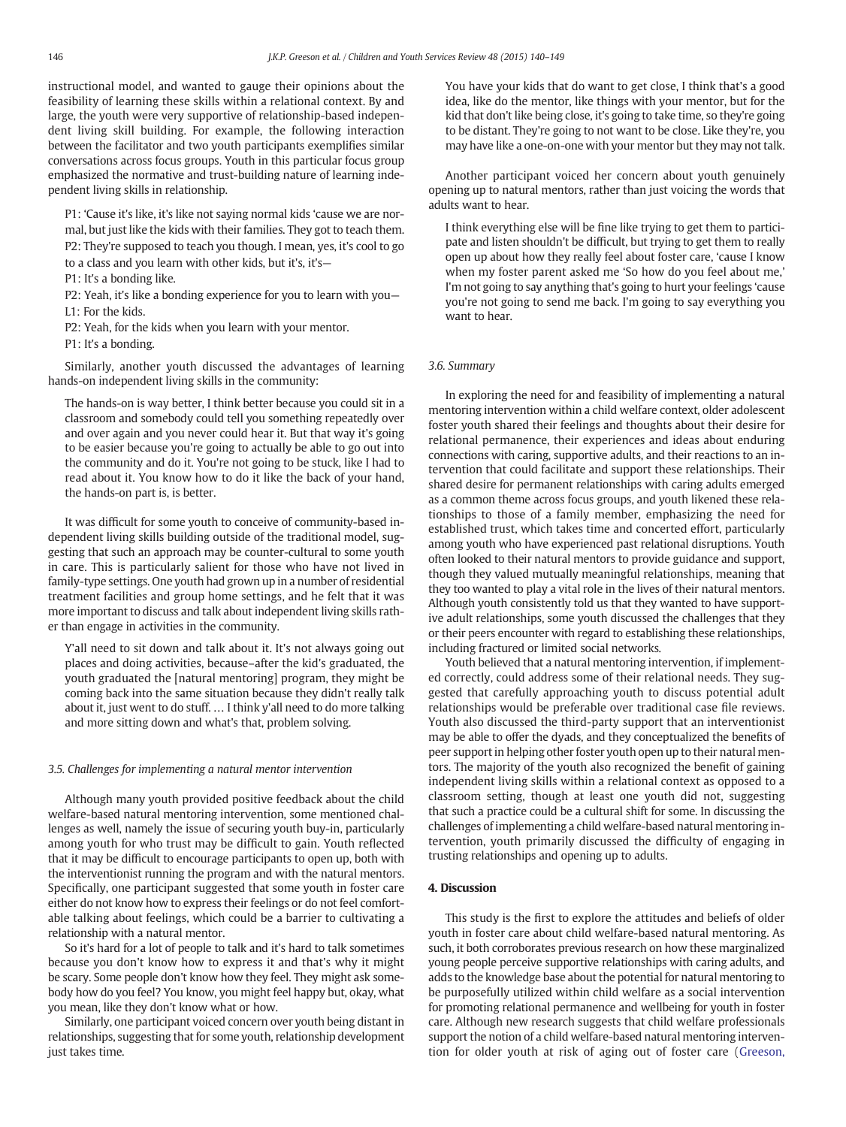instructional model, and wanted to gauge their opinions about the feasibility of learning these skills within a relational context. By and large, the youth were very supportive of relationship-based independent living skill building. For example, the following interaction between the facilitator and two youth participants exemplifies similar conversations across focus groups. Youth in this particular focus group emphasized the normative and trust-building nature of learning independent living skills in relationship.

P1: 'Cause it's like, it's like not saying normal kids 'cause we are normal, but just like the kids with their families. They got to teach them. P2: They're supposed to teach you though. I mean, yes, it's cool to go to a class and you learn with other kids, but it's, it's—

P1: It's a bonding like.

P2: Yeah, it's like a bonding experience for you to learn with you-L1: For the kids.

P2: Yeah, for the kids when you learn with your mentor.

P1: It's a bonding.

Similarly, another youth discussed the advantages of learning hands-on independent living skills in the community:

The hands-on is way better, I think better because you could sit in a classroom and somebody could tell you something repeatedly over and over again and you never could hear it. But that way it's going to be easier because you're going to actually be able to go out into the community and do it. You're not going to be stuck, like I had to read about it. You know how to do it like the back of your hand, the hands-on part is, is better.

It was difficult for some youth to conceive of community-based independent living skills building outside of the traditional model, suggesting that such an approach may be counter-cultural to some youth in care. This is particularly salient for those who have not lived in family-type settings. One youth had grown up in a number of residential treatment facilities and group home settings, and he felt that it was more important to discuss and talk about independent living skills rather than engage in activities in the community.

Y'all need to sit down and talk about it. It's not always going out places and doing activities, because–after the kid's graduated, the youth graduated the [natural mentoring] program, they might be coming back into the same situation because they didn't really talk about it, just went to do stuff. … I think y'all need to do more talking and more sitting down and what's that, problem solving.

#### 3.5. Challenges for implementing a natural mentor intervention

Although many youth provided positive feedback about the child welfare-based natural mentoring intervention, some mentioned challenges as well, namely the issue of securing youth buy-in, particularly among youth for who trust may be difficult to gain. Youth reflected that it may be difficult to encourage participants to open up, both with the interventionist running the program and with the natural mentors. Specifically, one participant suggested that some youth in foster care either do not know how to express their feelings or do not feel comfortable talking about feelings, which could be a barrier to cultivating a relationship with a natural mentor.

So it's hard for a lot of people to talk and it's hard to talk sometimes because you don't know how to express it and that's why it might be scary. Some people don't know how they feel. They might ask somebody how do you feel? You know, you might feel happy but, okay, what you mean, like they don't know what or how.

Similarly, one participant voiced concern over youth being distant in relationships, suggesting that for some youth, relationship development just takes time.

You have your kids that do want to get close, I think that's a good idea, like do the mentor, like things with your mentor, but for the kid that don't like being close, it's going to take time, so they're going to be distant. They're going to not want to be close. Like they're, you may have like a one-on-one with your mentor but they may not talk.

Another participant voiced her concern about youth genuinely opening up to natural mentors, rather than just voicing the words that adults want to hear.

I think everything else will be fine like trying to get them to participate and listen shouldn't be difficult, but trying to get them to really open up about how they really feel about foster care, 'cause I know when my foster parent asked me 'So how do you feel about me,' I'm not going to say anything that's going to hurt your feelings 'cause you're not going to send me back. I'm going to say everything you want to hear.

# 3.6. Summary

In exploring the need for and feasibility of implementing a natural mentoring intervention within a child welfare context, older adolescent foster youth shared their feelings and thoughts about their desire for relational permanence, their experiences and ideas about enduring connections with caring, supportive adults, and their reactions to an intervention that could facilitate and support these relationships. Their shared desire for permanent relationships with caring adults emerged as a common theme across focus groups, and youth likened these relationships to those of a family member, emphasizing the need for established trust, which takes time and concerted effort, particularly among youth who have experienced past relational disruptions. Youth often looked to their natural mentors to provide guidance and support, though they valued mutually meaningful relationships, meaning that they too wanted to play a vital role in the lives of their natural mentors. Although youth consistently told us that they wanted to have supportive adult relationships, some youth discussed the challenges that they or their peers encounter with regard to establishing these relationships, including fractured or limited social networks.

Youth believed that a natural mentoring intervention, if implemented correctly, could address some of their relational needs. They suggested that carefully approaching youth to discuss potential adult relationships would be preferable over traditional case file reviews. Youth also discussed the third-party support that an interventionist may be able to offer the dyads, and they conceptualized the benefits of peer support in helping other foster youth open up to their natural mentors. The majority of the youth also recognized the benefit of gaining independent living skills within a relational context as opposed to a classroom setting, though at least one youth did not, suggesting that such a practice could be a cultural shift for some. In discussing the challenges of implementing a child welfare-based natural mentoring intervention, youth primarily discussed the difficulty of engaging in trusting relationships and opening up to adults.

# 4. Discussion

This study is the first to explore the attitudes and beliefs of older youth in foster care about child welfare-based natural mentoring. As such, it both corroborates previous research on how these marginalized young people perceive supportive relationships with caring adults, and adds to the knowledge base about the potential for natural mentoring to be purposefully utilized within child welfare as a social intervention for promoting relational permanence and wellbeing for youth in foster care. Although new research suggests that child welfare professionals support the notion of a child welfare-based natural mentoring intervention for older youth at risk of aging out of foster care ([Greeson,](#page-8-0)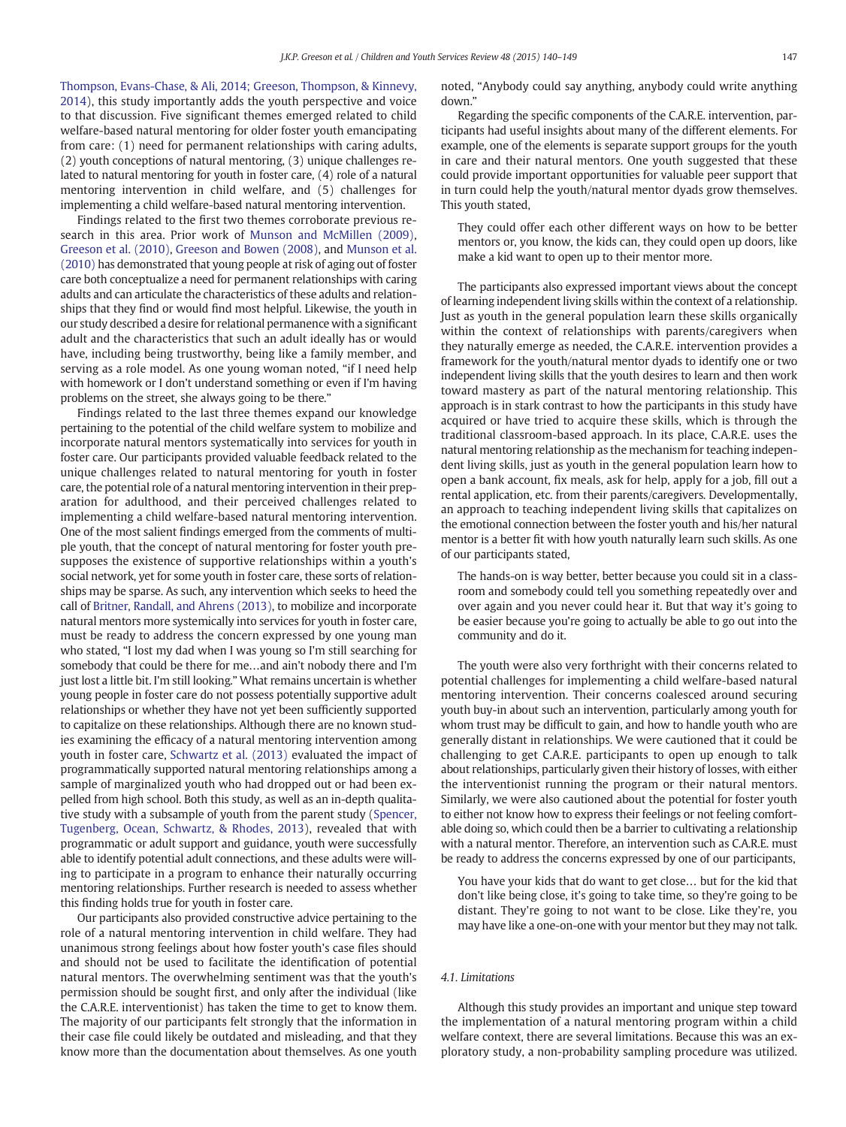[Thompson, Evans-Chase, & Ali, 2014; Greeson, Thompson, & Kinnevy,](#page-8-0) [2014\)](#page-8-0), this study importantly adds the youth perspective and voice to that discussion. Five significant themes emerged related to child welfare-based natural mentoring for older foster youth emancipating from care: (1) need for permanent relationships with caring adults, (2) youth conceptions of natural mentoring, (3) unique challenges related to natural mentoring for youth in foster care, (4) role of a natural mentoring intervention in child welfare, and (5) challenges for implementing a child welfare-based natural mentoring intervention.

Findings related to the first two themes corroborate previous research in this area. Prior work of [Munson and McMillen \(2009\),](#page-9-0) [Greeson et al. \(2010\),](#page-8-0) [Greeson and Bowen \(2008\)](#page-8-0), and [Munson et al.](#page-9-0) [\(2010\)](#page-9-0) has demonstrated that young people at risk of aging out of foster care both conceptualize a need for permanent relationships with caring adults and can articulate the characteristics of these adults and relationships that they find or would find most helpful. Likewise, the youth in our study described a desire for relational permanence with a significant adult and the characteristics that such an adult ideally has or would have, including being trustworthy, being like a family member, and serving as a role model. As one young woman noted, "if I need help with homework or I don't understand something or even if I'm having problems on the street, she always going to be there."

Findings related to the last three themes expand our knowledge pertaining to the potential of the child welfare system to mobilize and incorporate natural mentors systematically into services for youth in foster care. Our participants provided valuable feedback related to the unique challenges related to natural mentoring for youth in foster care, the potential role of a natural mentoring intervention in their preparation for adulthood, and their perceived challenges related to implementing a child welfare-based natural mentoring intervention. One of the most salient findings emerged from the comments of multiple youth, that the concept of natural mentoring for foster youth presupposes the existence of supportive relationships within a youth's social network, yet for some youth in foster care, these sorts of relationships may be sparse. As such, any intervention which seeks to heed the call of [Britner, Randall, and Ahrens \(2013\)](#page-8-0), to mobilize and incorporate natural mentors more systemically into services for youth in foster care, must be ready to address the concern expressed by one young man who stated, "I lost my dad when I was young so I'm still searching for somebody that could be there for me…and ain't nobody there and I'm just lost a little bit. I'm still looking." What remains uncertain is whether young people in foster care do not possess potentially supportive adult relationships or whether they have not yet been sufficiently supported to capitalize on these relationships. Although there are no known studies examining the efficacy of a natural mentoring intervention among youth in foster care, [Schwartz et al. \(2013\)](#page-9-0) evaluated the impact of programmatically supported natural mentoring relationships among a sample of marginalized youth who had dropped out or had been expelled from high school. Both this study, as well as an in-depth qualitative study with a subsample of youth from the parent study [\(Spencer,](#page-9-0) [Tugenberg, Ocean, Schwartz, & Rhodes, 2013](#page-9-0)), revealed that with programmatic or adult support and guidance, youth were successfully able to identify potential adult connections, and these adults were willing to participate in a program to enhance their naturally occurring mentoring relationships. Further research is needed to assess whether this finding holds true for youth in foster care.

Our participants also provided constructive advice pertaining to the role of a natural mentoring intervention in child welfare. They had unanimous strong feelings about how foster youth's case files should and should not be used to facilitate the identification of potential natural mentors. The overwhelming sentiment was that the youth's permission should be sought first, and only after the individual (like the C.A.R.E. interventionist) has taken the time to get to know them. The majority of our participants felt strongly that the information in their case file could likely be outdated and misleading, and that they know more than the documentation about themselves. As one youth noted, "Anybody could say anything, anybody could write anything down."

Regarding the specific components of the C.A.R.E. intervention, participants had useful insights about many of the different elements. For example, one of the elements is separate support groups for the youth in care and their natural mentors. One youth suggested that these could provide important opportunities for valuable peer support that in turn could help the youth/natural mentor dyads grow themselves. This youth stated,

They could offer each other different ways on how to be better mentors or, you know, the kids can, they could open up doors, like make a kid want to open up to their mentor more.

The participants also expressed important views about the concept of learning independent living skills within the context of a relationship. Just as youth in the general population learn these skills organically within the context of relationships with parents/caregivers when they naturally emerge as needed, the C.A.R.E. intervention provides a framework for the youth/natural mentor dyads to identify one or two independent living skills that the youth desires to learn and then work toward mastery as part of the natural mentoring relationship. This approach is in stark contrast to how the participants in this study have acquired or have tried to acquire these skills, which is through the traditional classroom-based approach. In its place, C.A.R.E. uses the natural mentoring relationship as the mechanism for teaching independent living skills, just as youth in the general population learn how to open a bank account, fix meals, ask for help, apply for a job, fill out a rental application, etc. from their parents/caregivers. Developmentally, an approach to teaching independent living skills that capitalizes on the emotional connection between the foster youth and his/her natural mentor is a better fit with how youth naturally learn such skills. As one of our participants stated,

The hands-on is way better, better because you could sit in a classroom and somebody could tell you something repeatedly over and over again and you never could hear it. But that way it's going to be easier because you're going to actually be able to go out into the community and do it.

The youth were also very forthright with their concerns related to potential challenges for implementing a child welfare-based natural mentoring intervention. Their concerns coalesced around securing youth buy-in about such an intervention, particularly among youth for whom trust may be difficult to gain, and how to handle youth who are generally distant in relationships. We were cautioned that it could be challenging to get C.A.R.E. participants to open up enough to talk about relationships, particularly given their history of losses, with either the interventionist running the program or their natural mentors. Similarly, we were also cautioned about the potential for foster youth to either not know how to express their feelings or not feeling comfortable doing so, which could then be a barrier to cultivating a relationship with a natural mentor. Therefore, an intervention such as C.A.R.E. must be ready to address the concerns expressed by one of our participants,

You have your kids that do want to get close… but for the kid that don't like being close, it's going to take time, so they're going to be distant. They're going to not want to be close. Like they're, you may have like a one-on-one with your mentor but they may not talk.

### 4.1. Limitations

Although this study provides an important and unique step toward the implementation of a natural mentoring program within a child welfare context, there are several limitations. Because this was an exploratory study, a non-probability sampling procedure was utilized.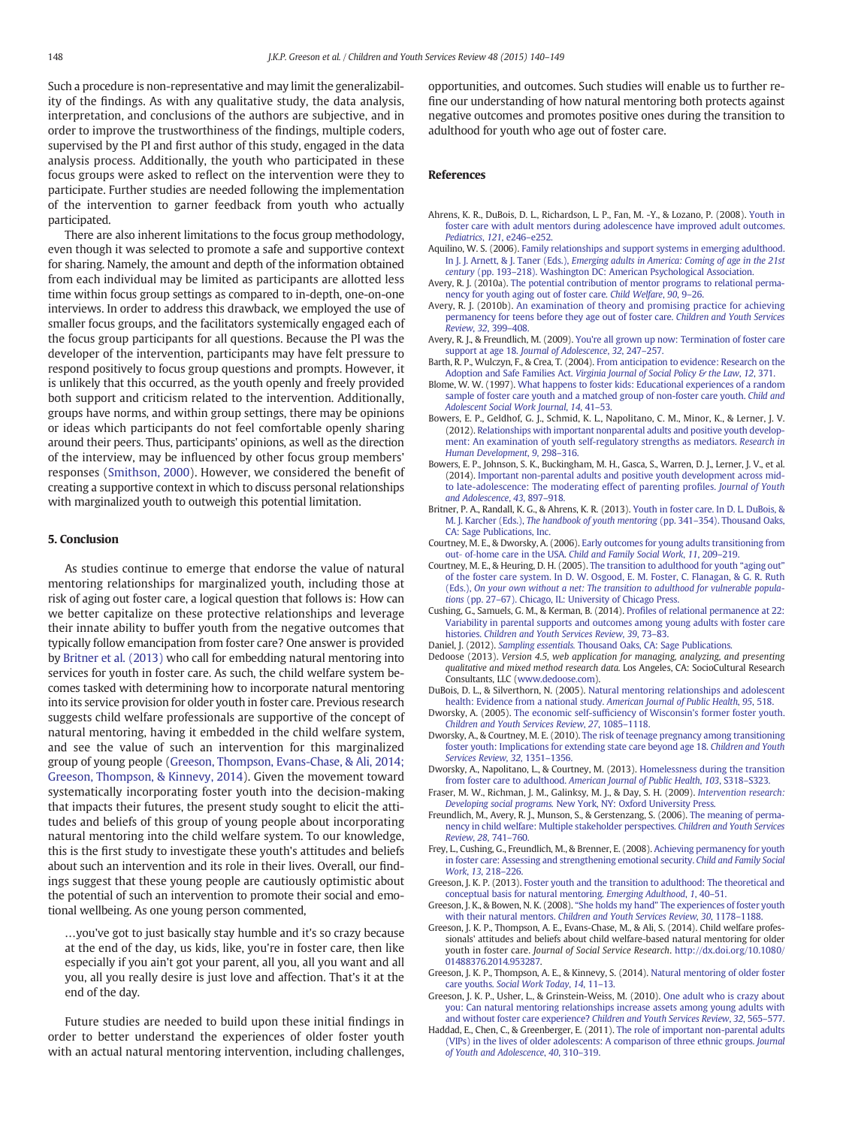<span id="page-8-0"></span>Such a procedure is non-representative and may limit the generalizability of the findings. As with any qualitative study, the data analysis, interpretation, and conclusions of the authors are subjective, and in order to improve the trustworthiness of the findings, multiple coders, supervised by the PI and first author of this study, engaged in the data analysis process. Additionally, the youth who participated in these focus groups were asked to reflect on the intervention were they to participate. Further studies are needed following the implementation of the intervention to garner feedback from youth who actually participated.

There are also inherent limitations to the focus group methodology, even though it was selected to promote a safe and supportive context for sharing. Namely, the amount and depth of the information obtained from each individual may be limited as participants are allotted less time within focus group settings as compared to in-depth, one-on-one interviews. In order to address this drawback, we employed the use of smaller focus groups, and the facilitators systemically engaged each of the focus group participants for all questions. Because the PI was the developer of the intervention, participants may have felt pressure to respond positively to focus group questions and prompts. However, it is unlikely that this occurred, as the youth openly and freely provided both support and criticism related to the intervention. Additionally, groups have norms, and within group settings, there may be opinions or ideas which participants do not feel comfortable openly sharing around their peers. Thus, participants' opinions, as well as the direction of the interview, may be influenced by other focus group members' responses [\(Smithson, 2000\)](#page-9-0). However, we considered the benefit of creating a supportive context in which to discuss personal relationships with marginalized youth to outweigh this potential limitation.

#### 5. Conclusion

As studies continue to emerge that endorse the value of natural mentoring relationships for marginalized youth, including those at risk of aging out foster care, a logical question that follows is: How can we better capitalize on these protective relationships and leverage their innate ability to buffer youth from the negative outcomes that typically follow emancipation from foster care? One answer is provided by Britner et al. (2013) who call for embedding natural mentoring into services for youth in foster care. As such, the child welfare system becomes tasked with determining how to incorporate natural mentoring into its service provision for older youth in foster care. Previous research suggests child welfare professionals are supportive of the concept of natural mentoring, having it embedded in the child welfare system, and see the value of such an intervention for this marginalized group of young people (Greeson, Thompson, Evans-Chase, & Ali, 2014; Greeson, Thompson, & Kinnevy, 2014). Given the movement toward systematically incorporating foster youth into the decision-making that impacts their futures, the present study sought to elicit the attitudes and beliefs of this group of young people about incorporating natural mentoring into the child welfare system. To our knowledge, this is the first study to investigate these youth's attitudes and beliefs about such an intervention and its role in their lives. Overall, our findings suggest that these young people are cautiously optimistic about the potential of such an intervention to promote their social and emotional wellbeing. As one young person commented,

…you've got to just basically stay humble and it's so crazy because at the end of the day, us kids, like, you're in foster care, then like especially if you ain't got your parent, all you, all you want and all you, all you really desire is just love and affection. That's it at the end of the day.

Future studies are needed to build upon these initial findings in order to better understand the experiences of older foster youth with an actual natural mentoring intervention, including challenges,

opportunities, and outcomes. Such studies will enable us to further refine our understanding of how natural mentoring both protects against negative outcomes and promotes positive ones during the transition to adulthood for youth who age out of foster care.

### References

- Ahrens, K. R., DuBois, D. L., Richardson, L. P., Fan, M. -Y., & Lozano, P. (2008). [Youth in](http://refhub.elsevier.com/S0190-7409(14)00427-7/rf0005) [foster care with adult mentors during adolescence have improved adult outcomes.](http://refhub.elsevier.com/S0190-7409(14)00427-7/rf0005) [Pediatrics](http://refhub.elsevier.com/S0190-7409(14)00427-7/rf0005), 121, e246–e252.
- Aquilino, W. S. (2006). [Family relationships and support systems in emerging adulthood.](http://refhub.elsevier.com/S0190-7409(14)00427-7/rf0010) In J. J. Arnett, & J. Taner (Eds.), [Emerging adults in America: Coming of age in the 21st](http://refhub.elsevier.com/S0190-7409(14)00427-7/rf0010) century (pp. 193–[218\). Washington DC: American Psychological Association.](http://refhub.elsevier.com/S0190-7409(14)00427-7/rf0010)
- Avery, R. J. (2010a). [The potential contribution of mentor programs to relational perma](http://refhub.elsevier.com/S0190-7409(14)00427-7/rf0020)[nency for youth aging out of foster care.](http://refhub.elsevier.com/S0190-7409(14)00427-7/rf0020) Child Welfare, 90, 9–26.
- Avery, R. J. (2010b). [An examination of theory and promising practice for achieving](http://refhub.elsevier.com/S0190-7409(14)00427-7/rf0025) [permanency for teens before they age out of foster care.](http://refhub.elsevier.com/S0190-7409(14)00427-7/rf0025) Children and Youth Services [Review](http://refhub.elsevier.com/S0190-7409(14)00427-7/rf0025), 32, 399–408.
- Avery, R. J., & Freundlich, M. (2009). [You're all grown up now: Termination of foster care](http://refhub.elsevier.com/S0190-7409(14)00427-7/rf0015) support at age 18. [Journal of Adolescence](http://refhub.elsevier.com/S0190-7409(14)00427-7/rf0015), 32, 247–257.
- Barth, R. P., Wulczyn, F., & Crea, T. (2004). [From anticipation to evidence: Research on the](http://refhub.elsevier.com/S0190-7409(14)00427-7/rf0030) Adoption and Safe Families Act. [Virginia Journal of Social Policy & the Law](http://refhub.elsevier.com/S0190-7409(14)00427-7/rf0030), 12, 371.
- Blome, W. W. (1997). [What happens to foster kids: Educational experiences of a random](http://refhub.elsevier.com/S0190-7409(14)00427-7/rf0035) [sample of foster care youth and a matched group of non-foster care youth.](http://refhub.elsevier.com/S0190-7409(14)00427-7/rf0035) Child and [Adolescent Social Work Journal](http://refhub.elsevier.com/S0190-7409(14)00427-7/rf0035), 14, 41–53.
- Bowers, E. P., Geldhof, G. J., Schmid, K. L., Napolitano, C. M., Minor, K., & Lerner, J. V. (2012). [Relationships with important nonparental adults and positive youth develop](http://refhub.elsevier.com/S0190-7409(14)00427-7/rf0045)[ment: An examination of youth self-regulatory strengths as mediators.](http://refhub.elsevier.com/S0190-7409(14)00427-7/rf0045) Research in [Human Development](http://refhub.elsevier.com/S0190-7409(14)00427-7/rf0045), 9, 298–316.
- Bowers, E. P., Johnson, S. K., Buckingham, M. H., Gasca, S., Warren, D. J., Lerner, J. V., et al. (2014). [Important non-parental adults and positive youth development across mid](http://refhub.elsevier.com/S0190-7409(14)00427-7/rf0040)[to late-adolescence: The moderating effect of parenting pro](http://refhub.elsevier.com/S0190-7409(14)00427-7/rf0040)files. Journal of Youth [and Adolescence](http://refhub.elsevier.com/S0190-7409(14)00427-7/rf0040), 43, 897–918.
- Britner, P. A., Randall, K. G., & Ahrens, K. R. (2013). [Youth in foster care. In D. L. DuBois, &](http://refhub.elsevier.com/S0190-7409(14)00427-7/rf0050) M. J. Karcher (Eds.), [The handbook of youth mentoring](http://refhub.elsevier.com/S0190-7409(14)00427-7/rf0050) (pp. 341–354). Thousand Oaks, [CA: Sage Publications, Inc.](http://refhub.elsevier.com/S0190-7409(14)00427-7/rf0050)
- Courtney, M. E., & Dworsky, A. (2006). [Early outcomes for young adults transitioning from](http://refhub.elsevier.com/S0190-7409(14)00427-7/rf0055) out‐ of‐home care in the USA. [Child and Family Social Work](http://refhub.elsevier.com/S0190-7409(14)00427-7/rf0055), 11, 209–219.
- Courtney, M. E., & Heuring, D. H. (2005). [The transition to adulthood for youth](http://refhub.elsevier.com/S0190-7409(14)00427-7/rf0060) "aging out" [of the foster care system. In D. W. Osgood, E. M. Foster, C. Flanagan, & G. R. Ruth](http://refhub.elsevier.com/S0190-7409(14)00427-7/rf0060) (Eds.), [On your own without a net: The transition to adulthood for vulnerable popula](http://refhub.elsevier.com/S0190-7409(14)00427-7/rf0060)tions (pp. 27–[67\). Chicago, IL: University of Chicago Press.](http://refhub.elsevier.com/S0190-7409(14)00427-7/rf0060)
- Cushing, G., Samuels, G. M., & Kerman, B. (2014). Profi[les of relational permanence at 22:](http://refhub.elsevier.com/S0190-7409(14)00427-7/rf0065) [Variability in parental supports and outcomes among young adults with foster care](http://refhub.elsevier.com/S0190-7409(14)00427-7/rf0065) histories. [Children and Youth Services Review](http://refhub.elsevier.com/S0190-7409(14)00427-7/rf0065), 39, 73–83.
- Daniel, J. (2012). Sampling essentials. [Thousand Oaks, CA: Sage Publications.](http://refhub.elsevier.com/S0190-7409(14)00427-7/rf0070)
- Dedoose (2013). Version 4.5, web application for managing, analyzing, and presenting qualitative and mixed method research data. Los Angeles, CA: SocioCultural Research Consultants, LLC [\(www.dedoose.com\)](http://www.dedoose.com).
- DuBois, D. L., & Silverthorn, N. (2005). [Natural mentoring relationships and adolescent](http://refhub.elsevier.com/S0190-7409(14)00427-7/rf0075) [health: Evidence from a national study.](http://refhub.elsevier.com/S0190-7409(14)00427-7/rf0075) American Journal of Public Health, 95, 518.
- Dworsky, A. (2005). The economic self-suffi[ciency of Wisconsin's former foster youth.](http://refhub.elsevier.com/S0190-7409(14)00427-7/rf0090) [Children and Youth Services Review](http://refhub.elsevier.com/S0190-7409(14)00427-7/rf0090), 27, 1085–1118.
- Dworsky, A., & Courtney, M. E. (2010). [The risk of teenage pregnancy among transitioning](http://refhub.elsevier.com/S0190-7409(14)00427-7/rf0085) [foster youth: Implications for extending state care beyond age 18.](http://refhub.elsevier.com/S0190-7409(14)00427-7/rf0085) Children and Youth [Services Review](http://refhub.elsevier.com/S0190-7409(14)00427-7/rf0085), 32, 1351–1356.
- Dworsky, A., Napolitano, L., & Courtney, M. (2013). [Homelessness during the transition](http://refhub.elsevier.com/S0190-7409(14)00427-7/rf0080) from foster care to adulthood. [American Journal of Public Health](http://refhub.elsevier.com/S0190-7409(14)00427-7/rf0080), 103, S318–S323.
- Fraser, M. W., Richman, J. M., Galinksy, M. J., & Day, S. H. (2009). [Intervention research:](http://refhub.elsevier.com/S0190-7409(14)00427-7/rf0095) Developing social programs. [New York, NY: Oxford University Press.](http://refhub.elsevier.com/S0190-7409(14)00427-7/rf0095)
- Freundlich, M., Avery, R. J., Munson, S., & Gerstenzang, S. (2006). [The meaning of perma](http://refhub.elsevier.com/S0190-7409(14)00427-7/rf0100)[nency in child welfare: Multiple stakeholder perspectives.](http://refhub.elsevier.com/S0190-7409(14)00427-7/rf0100) Children and Youth Services [Review](http://refhub.elsevier.com/S0190-7409(14)00427-7/rf0100), 28, 741–760.
- Frey, L., Cushing, G., Freundlich, M., & Brenner, E. (2008). [Achieving permanency for youth](http://refhub.elsevier.com/S0190-7409(14)00427-7/rf0105) [in foster care: Assessing and strengthening emotional security.](http://refhub.elsevier.com/S0190-7409(14)00427-7/rf0105) Child and Family Social [Work](http://refhub.elsevier.com/S0190-7409(14)00427-7/rf0105), 13, 218–226.
- Greeson, J. K. P. (2013). [Foster youth and the transition to adulthood: The theoretical and](http://refhub.elsevier.com/S0190-7409(14)00427-7/rf0120) [conceptual basis for natural mentoring.](http://refhub.elsevier.com/S0190-7409(14)00427-7/rf0120) Emerging Adulthood, 1, 40–51.
- Greeson, J. K., & Bowen, N. K. (2008). "She holds my hand" [The experiences of foster youth](http://refhub.elsevier.com/S0190-7409(14)00427-7/rf0130) with their natural mentors. [Children and Youth Services Review](http://refhub.elsevier.com/S0190-7409(14)00427-7/rf0130), 30, 1178–1188.
- Greeson, J. K. P., Thompson, A. E., Evans-Chase, M., & Ali, S. (2014). Child welfare professionals' attitudes and beliefs about child welfare-based natural mentoring for older youth in foster care. Journal of Social Service Research. http://dx.doi.org/[10.1080/](http://dx.doi.org/10.1080/01488376.2014.953287) [01488376.2014.953287](http://dx.doi.org/10.1080/01488376.2014.953287).
- Greeson, J. K. P., Thompson, A. E., & Kinnevy, S. (2014). [Natural mentoring of older foster](http://refhub.elsevier.com/S0190-7409(14)00427-7/rf0115) care youths. [Social Work Today](http://refhub.elsevier.com/S0190-7409(14)00427-7/rf0115), 14, 11–13.
- Greeson, J. K. P., Usher, L., & Grinstein-Weiss, M. (2010). [One adult who is crazy about](http://refhub.elsevier.com/S0190-7409(14)00427-7/rf0125) [you: Can natural mentoring relationships increase assets among young adults with](http://refhub.elsevier.com/S0190-7409(14)00427-7/rf0125) [and without foster care experience?](http://refhub.elsevier.com/S0190-7409(14)00427-7/rf0125) Children and Youth Services Review, 32, 565–577.
- Haddad, E., Chen, C., & Greenberger, E. (2011). [The role of important non-parental adults](http://refhub.elsevier.com/S0190-7409(14)00427-7/rf0135) [\(VIPs\) in the lives of older adolescents: A comparison of three ethnic groups.](http://refhub.elsevier.com/S0190-7409(14)00427-7/rf0135) Journal [of Youth and Adolescence](http://refhub.elsevier.com/S0190-7409(14)00427-7/rf0135), 40, 310–319.